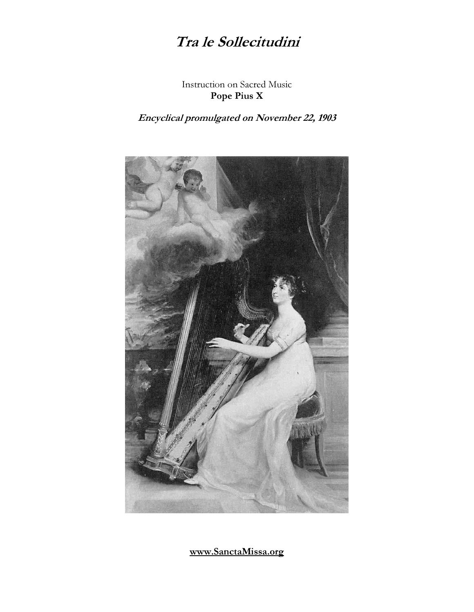# Tra le Sollecitudini

Instruction on Sacred Music Pope Pius X

Encyclical promulgated on November 22, 1903



www.SanctaMissa.org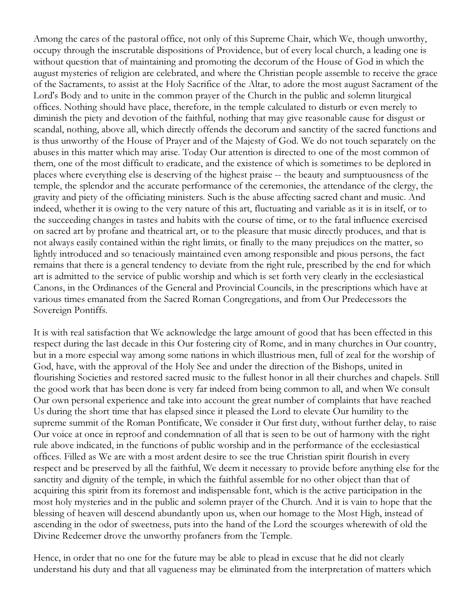Among the cares of the pastoral office, not only of this Supreme Chair, which We, though unworthy, occupy through the inscrutable dispositions of Providence, but of every local church, a leading one is without question that of maintaining and promoting the decorum of the House of God in which the august mysteries of religion are celebrated, and where the Christian people assemble to receive the grace of the Sacraments, to assist at the Holy Sacrifice of the Altar, to adore the most august Sacrament of the Lord's Body and to unite in the common prayer of the Church in the public and solemn liturgical offices. Nothing should have place, therefore, in the temple calculated to disturb or even merely to diminish the piety and devotion of the faithful, nothing that may give reasonable cause for disgust or scandal, nothing, above all, which directly offends the decorum and sanctity of the sacred functions and is thus unworthy of the House of Prayer and of the Majesty of God. We do not touch separately on the abuses in this matter which may arise. Today Our attention is directed to one of the most common of them, one of the most difficult to eradicate, and the existence of which is sometimes to be deplored in places where everything else is deserving of the highest praise -- the beauty and sumptuousness of the temple, the splendor and the accurate performance of the ceremonies, the attendance of the clergy, the gravity and piety of the officiating ministers. Such is the abuse affecting sacred chant and music. And indeed, whether it is owing to the very nature of this art, fluctuating and variable as it is in itself, or to the succeeding changes in tastes and habits with the course of time, or to the fatal influence exercised on sacred art by profane and theatrical art, or to the pleasure that music directly produces, and that is not always easily contained within the right limits, or finally to the many prejudices on the matter, so lightly introduced and so tenaciously maintained even among responsible and pious persons, the fact remains that there is a general tendency to deviate from the right rule, prescribed by the end for which art is admitted to the service of public worship and which is set forth very clearly in the ecclesiastical Canons, in the Ordinances of the General and Provincial Councils, in the prescriptions which have at various times emanated from the Sacred Roman Congregations, and from Our Predecessors the Sovereign Pontiffs.

It is with real satisfaction that We acknowledge the large amount of good that has been effected in this respect during the last decade in this Our fostering city of Rome, and in many churches in Our country, but in a more especial way among some nations in which illustrious men, full of zeal for the worship of God, have, with the approval of the Holy See and under the direction of the Bishops, united in flourishing Societies and restored sacred music to the fullest honor in all their churches and chapels. Still the good work that has been done is very far indeed from being common to all, and when We consult Our own personal experience and take into account the great number of complaints that have reached Us during the short time that has elapsed since it pleased the Lord to elevate Our humility to the supreme summit of the Roman Pontificate, We consider it Our first duty, without further delay, to raise Our voice at once in reproof and condemnation of all that is seen to be out of harmony with the right rule above indicated, in the functions of public worship and in the performance of the ecclesiastical offices. Filled as We are with a most ardent desire to see the true Christian spirit flourish in every respect and be preserved by all the faithful, We deem it necessary to provide before anything else for the sanctity and dignity of the temple, in which the faithful assemble for no other object than that of acquiring this spirit from its foremost and indispensable font, which is the active participation in the most holy mysteries and in the public and solemn prayer of the Church. And it is vain to hope that the blessing of heaven will descend abundantly upon us, when our homage to the Most High, instead of ascending in the odor of sweetness, puts into the hand of the Lord the scourges wherewith of old the Divine Redeemer drove the unworthy profaners from the Temple.

Hence, in order that no one for the future may be able to plead in excuse that he did not clearly understand his duty and that all vagueness may be eliminated from the interpretation of matters which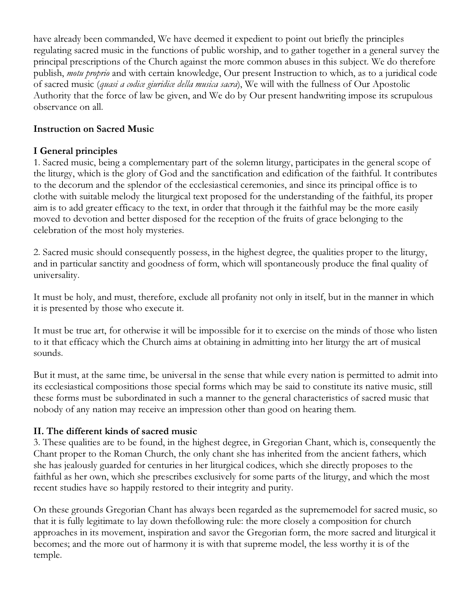have already been commanded, We have deemed it expedient to point out briefly the principles regulating sacred music in the functions of public worship, and to gather together in a general survey the principal prescriptions of the Church against the more common abuses in this subject. We do therefore publish, motu proprio and with certain knowledge, Our present Instruction to which, as to a juridical code of sacred music (quasi a codice giuridice della musica sacra), We will with the fullness of Our Apostolic Authority that the force of law be given, and We do by Our present handwriting impose its scrupulous observance on all.

## Instruction on Sacred Music

## I General principles

1. Sacred music, being a complementary part of the solemn liturgy, participates in the general scope of the liturgy, which is the glory of God and the sanctification and edification of the faithful. It contributes to the decorum and the splendor of the ecclesiastical ceremonies, and since its principal office is to clothe with suitable melody the liturgical text proposed for the understanding of the faithful, its proper aim is to add greater efficacy to the text, in order that through it the faithful may be the more easily moved to devotion and better disposed for the reception of the fruits of grace belonging to the celebration of the most holy mysteries.

2. Sacred music should consequently possess, in the highest degree, the qualities proper to the liturgy, and in particular sanctity and goodness of form, which will spontaneously produce the final quality of universality.

It must be holy, and must, therefore, exclude all profanity not only in itself, but in the manner in which it is presented by those who execute it.

It must be true art, for otherwise it will be impossible for it to exercise on the minds of those who listen to it that efficacy which the Church aims at obtaining in admitting into her liturgy the art of musical sounds.

But it must, at the same time, be universal in the sense that while every nation is permitted to admit into its ecclesiastical compositions those special forms which may be said to constitute its native music, still these forms must be subordinated in such a manner to the general characteristics of sacred music that nobody of any nation may receive an impression other than good on hearing them.

## II. The different kinds of sacred music

3. These qualities are to be found, in the highest degree, in Gregorian Chant, which is, consequently the Chant proper to the Roman Church, the only chant she has inherited from the ancient fathers, which she has jealously guarded for centuries in her liturgical codices, which she directly proposes to the faithful as her own, which she prescribes exclusively for some parts of the liturgy, and which the most recent studies have so happily restored to their integrity and purity.

On these grounds Gregorian Chant has always been regarded as the suprememodel for sacred music, so that it is fully legitimate to lay down thefollowing rule: the more closely a composition for church approaches in its movement, inspiration and savor the Gregorian form, the more sacred and liturgical it becomes; and the more out of harmony it is with that supreme model, the less worthy it is of the temple.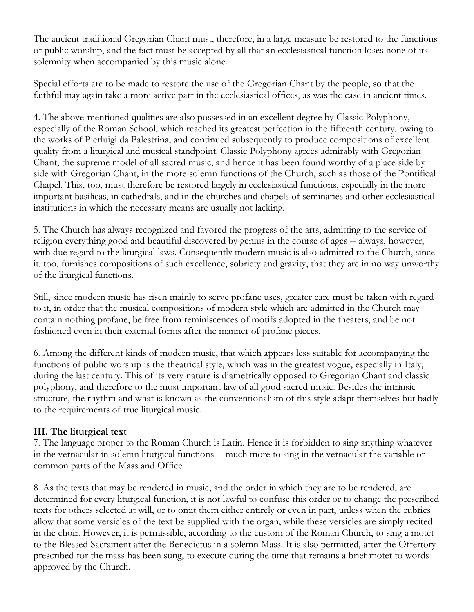The ancient traditional Gregorian Chant must, therefore, in a large measure be restored to the functions of public worship, and the fact must be accepted by all that an ecclesiastical function loses none of its solemnity when accompanied by this music alone.

Special efforts are to be made to restore the use of the Gregorian Chant by the people, so that the faithful may again take a more active part in the ecclesiastical offices, as was the case in ancient times.

4. The above-mentioned qualities are also possessed in an excellent degree by Classic Polyphony, especially of the Roman School, which reached its greatest perfection in the fifteenth century, owing to the works of Pierluigi da Palestrina, and continued subsequently to produce compositions of excellent quality from a liturgical and musical standpoint. Classic Polyphony agrees admirably with Gregorian Chant, the supreme model of all sacred music, and hence it has been found worthy of a place side by side with Gregorian Chant, in the more solemn functions of the Church, such as those of the Pontifical Chapel. This, too, must therefore be restored largely in ecclesiastical functions, especially in the more important basilicas, in cathedrals, and in the churches and chapels of seminaries and other ecclesiastical institutions in which the necessary means are usually not lacking.

5. The Church has always recognized and favored the progress of the arts, admitting to the service of religion everything good and beautiful discovered by genius in the course of ages -- always, however, with due regard to the liturgical laws. Consequently modern music is also admitted to the Church, since it, too, furnishes compositions of such excellence, sobriety and gravity, that they are in no way unworthy of the liturgical functions.

Still, since modern music has risen mainly to serve profane uses, greater care must be taken with regard to it, in order that the musical compositions of modern style which are admitted in the Church may contain nothing profane, be free from reminiscences of motifs adopted in the theaters, and be not fashioned even in their external forms after the manner of profane pieces.

6. Among the different kinds of modern music, that which appears less suitable for accompanying the functions of public worship is the theatrical style, which was in the greatest vogue, especially in Italy, during the last century. This of its very nature is diametrically opposed to Gregorian Chant and classic polyphony, and therefore to the most important law of all good sacred music. Besides the intrinsic structure, the rhythm and what is known as the conventionalism of this style adapt themselves but badly to the requirements of true liturgical music.

## III. The liturgical text

7. The language proper to the Roman Church is Latin. Hence it is forbidden to sing anything whatever in the vernacular in solemn liturgical functions -- much more to sing in the vernacular the variable or common parts of the Mass and Office.

8. As the texts that may be rendered in music, and the order in which they are to be rendered, are determined for every liturgical function, it is not lawful to confuse this order or to change the prescribed texts for others selected at will, or to omit them either entirely or even in part, unless when the rubrics allow that some versicles of the text be supplied with the organ, while these versicles are simply recited in the choir. However, it is permissible, according to the custom of the Roman Church, to sing a motet to the Blessed Sacrament after the Benedictus in a solemn Mass. It is also permitted, after the Offertory prescribed for the mass has been sung, to execute during the time that remains a brief motet to words approved by the Church.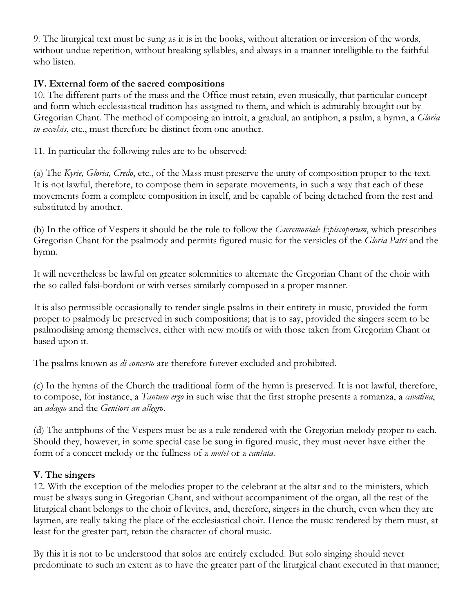9. The liturgical text must be sung as it is in the books, without alteration or inversion of the words, without undue repetition, without breaking syllables, and always in a manner intelligible to the faithful who listen.

## IV. External form of the sacred compositions

10. The different parts of the mass and the Office must retain, even musically, that particular concept and form which ecclesiastical tradition has assigned to them, and which is admirably brought out by Gregorian Chant. The method of composing an introit, a gradual, an antiphon, a psalm, a hymn, a Gloria in excelsis, etc., must therefore be distinct from one another.

11. In particular the following rules are to be observed:

(a) The Kyrie, Gloria, Credo, etc., of the Mass must preserve the unity of composition proper to the text. It is not lawful, therefore, to compose them in separate movements, in such a way that each of these movements form a complete composition in itself, and be capable of being detached from the rest and substituted by another.

(b) In the office of Vespers it should be the rule to follow the Caeremoniale Episcoporum, which prescribes Gregorian Chant for the psalmody and permits figured music for the versicles of the *Gloria Patri* and the hymn.

It will nevertheless be lawful on greater solemnities to alternate the Gregorian Chant of the choir with the so called falsi-bordoni or with verses similarly composed in a proper manner.

It is also permissible occasionally to render single psalms in their entirety in music, provided the form proper to psalmody be preserved in such compositions; that is to say, provided the singers seem to be psalmodising among themselves, either with new motifs or with those taken from Gregorian Chant or based upon it.

The psalms known as *di concerto* are therefore forever excluded and prohibited.

(c) In the hymns of the Church the traditional form of the hymn is preserved. It is not lawful, therefore, to compose, for instance, a *Tantum ergo* in such wise that the first strophe presents a romanza, a *cavatina*, an adagio and the Genitori an allegro.

(d) The antiphons of the Vespers must be as a rule rendered with the Gregorian melody proper to each. Should they, however, in some special case be sung in figured music, they must never have either the form of a concert melody or the fullness of a motet or a cantata.

# V. The singers

12. With the exception of the melodies proper to the celebrant at the altar and to the ministers, which must be always sung in Gregorian Chant, and without accompaniment of the organ, all the rest of the liturgical chant belongs to the choir of levites, and, therefore, singers in the church, even when they are laymen, are really taking the place of the ecclesiastical choir. Hence the music rendered by them must, at least for the greater part, retain the character of choral music.

By this it is not to be understood that solos are entirely excluded. But solo singing should never predominate to such an extent as to have the greater part of the liturgical chant executed in that manner;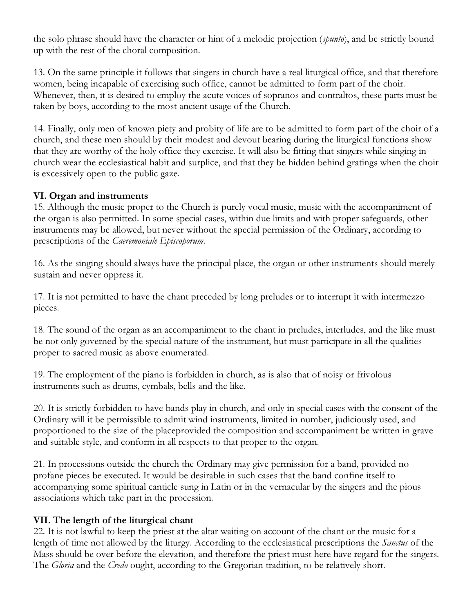the solo phrase should have the character or hint of a melodic projection (spunto), and be strictly bound up with the rest of the choral composition.

13. On the same principle it follows that singers in church have a real liturgical office, and that therefore women, being incapable of exercising such office, cannot be admitted to form part of the choir. Whenever, then, it is desired to employ the acute voices of sopranos and contraltos, these parts must be taken by boys, according to the most ancient usage of the Church.

14. Finally, only men of known piety and probity of life are to be admitted to form part of the choir of a church, and these men should by their modest and devout bearing during the liturgical functions show that they are worthy of the holy office they exercise. It will also be fitting that singers while singing in church wear the ecclesiastical habit and surplice, and that they be hidden behind gratings when the choir is excessively open to the public gaze.

## VI. Organ and instruments

15. Although the music proper to the Church is purely vocal music, music with the accompaniment of the organ is also permitted. In some special cases, within due limits and with proper safeguards, other instruments may be allowed, but never without the special permission of the Ordinary, according to prescriptions of the Caeremoniale Episcoporum.

16. As the singing should always have the principal place, the organ or other instruments should merely sustain and never oppress it.

17. It is not permitted to have the chant preceded by long preludes or to interrupt it with intermezzo pieces.

18. The sound of the organ as an accompaniment to the chant in preludes, interludes, and the like must be not only governed by the special nature of the instrument, but must participate in all the qualities proper to sacred music as above enumerated.

19. The employment of the piano is forbidden in church, as is also that of noisy or frivolous instruments such as drums, cymbals, bells and the like.

20. It is strictly forbidden to have bands play in church, and only in special cases with the consent of the Ordinary will it be permissible to admit wind instruments, limited in number, judiciously used, and proportioned to the size of the placeprovided the composition and accompaniment be written in grave and suitable style, and conform in all respects to that proper to the organ.

21. In processions outside the church the Ordinary may give permission for a band, provided no profane pieces be executed. It would be desirable in such cases that the band confine itself to accompanying some spiritual canticle sung in Latin or in the vernacular by the singers and the pious associations which take part in the procession.

# VII. The length of the liturgical chant

22. It is not lawful to keep the priest at the altar waiting on account of the chant or the music for a length of time not allowed by the liturgy. According to the ecclesiastical prescriptions the *Sanctus* of the Mass should be over before the elevation, and therefore the priest must here have regard for the singers. The *Gloria* and the *Credo* ought, according to the Gregorian tradition, to be relatively short.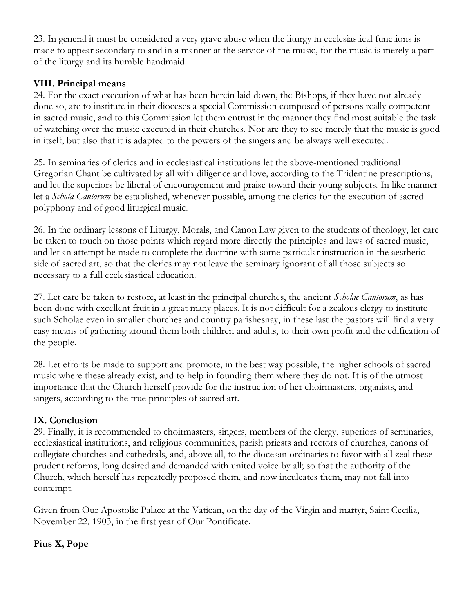23. In general it must be considered a very grave abuse when the liturgy in ecclesiastical functions is made to appear secondary to and in a manner at the service of the music, for the music is merely a part of the liturgy and its humble handmaid.

## VIII. Principal means

24. For the exact execution of what has been herein laid down, the Bishops, if they have not already done so, are to institute in their dioceses a special Commission composed of persons really competent in sacred music, and to this Commission let them entrust in the manner they find most suitable the task of watching over the music executed in their churches. Nor are they to see merely that the music is good in itself, but also that it is adapted to the powers of the singers and be always well executed.

25. In seminaries of clerics and in ecclesiastical institutions let the above-mentioned traditional Gregorian Chant be cultivated by all with diligence and love, according to the Tridentine prescriptions, and let the superiors be liberal of encouragement and praise toward their young subjects. In like manner let a Schola Cantorum be established, whenever possible, among the clerics for the execution of sacred polyphony and of good liturgical music.

26. In the ordinary lessons of Liturgy, Morals, and Canon Law given to the students of theology, let care be taken to touch on those points which regard more directly the principles and laws of sacred music, and let an attempt be made to complete the doctrine with some particular instruction in the aesthetic side of sacred art, so that the clerics may not leave the seminary ignorant of all those subjects so necessary to a full ecclesiastical education.

27. Let care be taken to restore, at least in the principal churches, the ancient *Scholae Cantorum*, as has been done with excellent fruit in a great many places. It is not difficult for a zealous clergy to institute such Scholae even in smaller churches and country parishesnay, in these last the pastors will find a very easy means of gathering around them both children and adults, to their own profit and the edification of the people.

28. Let efforts be made to support and promote, in the best way possible, the higher schools of sacred music where these already exist, and to help in founding them where they do not. It is of the utmost importance that the Church herself provide for the instruction of her choirmasters, organists, and singers, according to the true principles of sacred art.

# IX. Conclusion

29. Finally, it is recommended to choirmasters, singers, members of the clergy, superiors of seminaries, ecclesiastical institutions, and religious communities, parish priests and rectors of churches, canons of collegiate churches and cathedrals, and, above all, to the diocesan ordinaries to favor with all zeal these prudent reforms, long desired and demanded with united voice by all; so that the authority of the Church, which herself has repeatedly proposed them, and now inculcates them, may not fall into contempt.

Given from Our Apostolic Palace at the Vatican, on the day of the Virgin and martyr, Saint Cecilia, November 22, 1903, in the first year of Our Pontificate.

# Pius X, Pope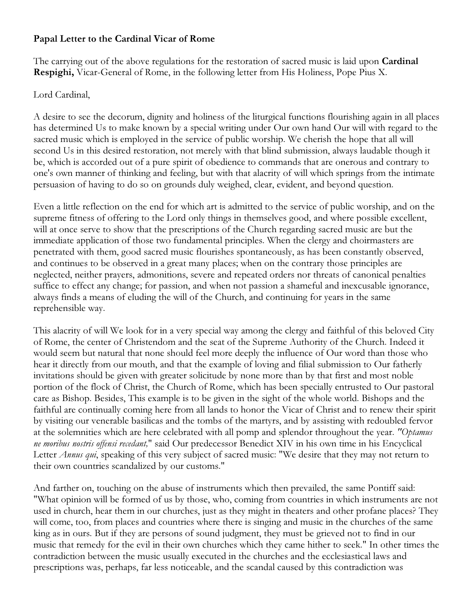#### Papal Letter to the Cardinal Vicar of Rome

The carrying out of the above regulations for the restoration of sacred music is laid upon **Cardinal** Respighi, Vicar-General of Rome, in the following letter from His Holiness, Pope Pius X.

## Lord Cardinal,

A desire to see the decorum, dignity and holiness of the liturgical functions flourishing again in all places has determined Us to make known by a special writing under Our own hand Our will with regard to the sacred music which is employed in the service of public worship. We cherish the hope that all will second Us in this desired restoration, not merely with that blind submission, always laudable though it be, which is accorded out of a pure spirit of obedience to commands that are onerous and contrary to one's own manner of thinking and feeling, but with that alacrity of will which springs from the intimate persuasion of having to do so on grounds duly weighed, clear, evident, and beyond question.

Even a little reflection on the end for which art is admitted to the service of public worship, and on the supreme fitness of offering to the Lord only things in themselves good, and where possible excellent, will at once serve to show that the prescriptions of the Church regarding sacred music are but the immediate application of those two fundamental principles. When the clergy and choirmasters are penetrated with them, good sacred music flourishes spontaneously, as has been constantly observed, and continues to be observed in a great many places; when on the contrary those principles are neglected, neither prayers, admonitions, severe and repeated orders nor threats of canonical penalties suffice to effect any change; for passion, and when not passion a shameful and inexcusable ignorance, always finds a means of eluding the will of the Church, and continuing for years in the same reprehensible way.

This alacrity of will We look for in a very special way among the clergy and faithful of this beloved City of Rome, the center of Christendom and the seat of the Supreme Authority of the Church. Indeed it would seem but natural that none should feel more deeply the influence of Our word than those who hear it directly from our mouth, and that the example of loving and filial submission to Our fatherly invitations should be given with greater solicitude by none more than by that first and most noble portion of the flock of Christ, the Church of Rome, which has been specially entrusted to Our pastoral care as Bishop. Besides, This example is to be given in the sight of the whole world. Bishops and the faithful are continually coming here from all lands to honor the Vicar of Christ and to renew their spirit by visiting our venerable basilicas and the tombs of the martyrs, and by assisting with redoubled fervor at the solemnities which are here celebrated with all pomp and splendor throughout the year. "Optamus ne moribus nostris offensi recedant," said Our predecessor Benedict XIV in his own time in his Encyclical Letter Annus qui, speaking of this very subject of sacred music: "We desire that they may not return to their own countries scandalized by our customs."

And farther on, touching on the abuse of instruments which then prevailed, the same Pontiff said: "What opinion will be formed of us by those, who, coming from countries in which instruments are not used in church, hear them in our churches, just as they might in theaters and other profane places? They will come, too, from places and countries where there is singing and music in the churches of the same king as in ours. But if they are persons of sound judgment, they must be grieved not to find in our music that remedy for the evil in their own churches which they came hither to seek." In other times the contradiction between the music usually executed in the churches and the ecclesiastical laws and prescriptions was, perhaps, far less noticeable, and the scandal caused by this contradiction was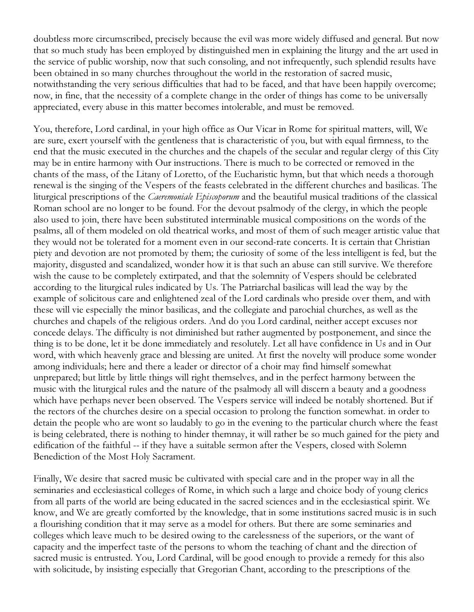doubtless more circumscribed, precisely because the evil was more widely diffused and general. But now that so much study has been employed by distinguished men in explaining the liturgy and the art used in the service of public worship, now that such consoling, and not infrequently, such splendid results have been obtained in so many churches throughout the world in the restoration of sacred music, notwithstanding the very serious difficulties that had to be faced, and that have been happily overcome; now, in fine, that the necessity of a complete change in the order of things has come to be universally appreciated, every abuse in this matter becomes intolerable, and must be removed.

You, therefore, Lord cardinal, in your high office as Our Vicar in Rome for spiritual matters, will, We are sure, exert yourself with the gentleness that is characteristic of you, but with equal firmness, to the end that the music executed in the churches and the chapels of the secular and regular clergy of this City may be in entire harmony with Our instructions. There is much to be corrected or removed in the chants of the mass, of the Litany of Loretto, of the Eucharistic hymn, but that which needs a thorough renewal is the singing of the Vespers of the feasts celebrated in the different churches and basilicas. The liturgical prescriptions of the *Caeremoniale Episcoporum* and the beautiful musical traditions of the classical Roman school are no longer to be found. For the devout psalmody of the clergy, in which the people also used to join, there have been substituted interminable musical compositions on the words of the psalms, all of them modeled on old theatrical works, and most of them of such meager artistic value that they would not be tolerated for a moment even in our second-rate concerts. It is certain that Christian piety and devotion are not promoted by them; the curiosity of some of the less intelligent is fed, but the majority, disgusted and scandalized, wonder how it is that such an abuse can still survive. We therefore wish the cause to be completely extirpated, and that the solemnity of Vespers should be celebrated according to the liturgical rules indicated by Us. The Patriarchal basilicas will lead the way by the example of solicitous care and enlightened zeal of the Lord cardinals who preside over them, and with these will vie especially the minor basilicas, and the collegiate and parochial churches, as well as the churches and chapels of the religious orders. And do you Lord cardinal, neither accept excuses nor concede delays. The difficulty is not diminished but rather augmented by postponement, and since the thing is to be done, let it be done immediately and resolutely. Let all have confidence in Us and in Our word, with which heavenly grace and blessing are united. At first the novelty will produce some wonder among individuals; here and there a leader or director of a choir may find himself somewhat unprepared; but little by little things will right themselves, and in the perfect harmony between the music with the liturgical rules and the nature of the psalmody all will discern a beauty and a goodness which have perhaps never been observed. The Vespers service will indeed be notably shortened. But if the rectors of the churches desire on a special occasion to prolong the function somewhat. in order to detain the people who are wont so laudably to go in the evening to the particular church where the feast is being celebrated, there is nothing to hinder themnay, it will rather be so much gained for the piety and edification of the faithful -- if they have a suitable sermon after the Vespers, closed with Solemn Benediction of the Most Holy Sacrament.

Finally, We desire that sacred music be cultivated with special care and in the proper way in all the seminaries and ecclesiastical colleges of Rome, in which such a large and choice body of young clerics from all parts of the world are being educated in the sacred sciences and in the ecclesiastical spirit. We know, and We are greatly comforted by the knowledge, that in some institutions sacred music is in such a flourishing condition that it may serve as a model for others. But there are some seminaries and colleges which leave much to be desired owing to the carelessness of the superiors, or the want of capacity and the imperfect taste of the persons to whom the teaching of chant and the direction of sacred music is entrusted. You, Lord Cardinal, will be good enough to provide a remedy for this also with solicitude, by insisting especially that Gregorian Chant, according to the prescriptions of the